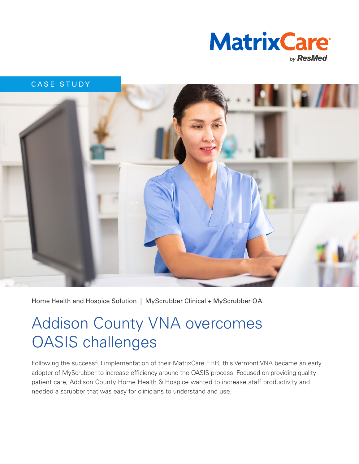

CASE STUDY

Home Health and Hospice Solution | MyScrubber Clinical + MyScrubber QA

# Addison County VNA overcomes OASIS challenges

Following the successful implementation of their MatrixCare EHR, this Vermont VNA became an early adopter of MyScrubber to increase efficiency around the OASIS process. Focused on providing quality patient care, Addison County Home Health & Hospice wanted to increase staff productivity and needed a scrubber that was easy for clinicians to understand and use.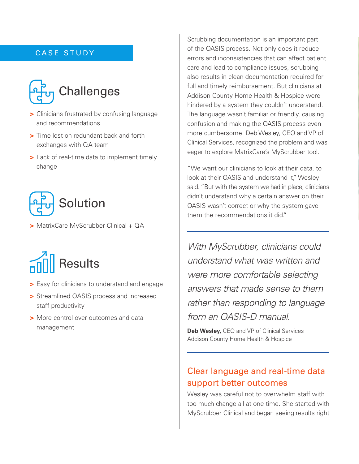#### CASE STUDY



- **>** Clinicians frustrated by confusing language and recommendations
- **>** Time lost on redundant back and forth exchanges with QA team
- **>** Lack of real-time data to implement timely change



**>** MatrixCare MyScrubber Clinical + QA

# Results

- **>** Easy for clinicians to understand and engage
- **>** Streamlined OASIS process and increased staff productivity
- **>** More control over outcomes and data management

Scrubbing documentation is an important part of the OASIS process. Not only does it reduce errors and inconsistencies that can affect patient care and lead to compliance issues, scrubbing also results in clean documentation required for full and timely reimbursement. But clinicians at Addison County Home Health & Hospice were hindered by a system they couldn't understand. The language wasn't familiar or friendly, causing confusion and making the OASIS process even more cumbersome. Deb Wesley, CEO and VP of Clinical Services, recognized the problem and was eager to explore MatrixCare's MyScrubber tool.

"We want our clinicians to look at their data, to look at their OASIS and understand it," Wesley said. "But with the system we had in place, clinicians didn't understand why a certain answer on their OASIS wasn't correct or why the system gave them the recommendations it did."

*With MyScrubber, clinicians could understand what was written and were more comfortable selecting answers that made sense to them rather than responding to language from an OASIS-D manual.*

**Deb Wesley,** CEO and VP of Clinical Services Addison County Home Health & Hospice

### Clear language and real-time data support better outcomes

Wesley was careful not to overwhelm staff with too much change all at one time. She started with MyScrubber Clinical and began seeing results right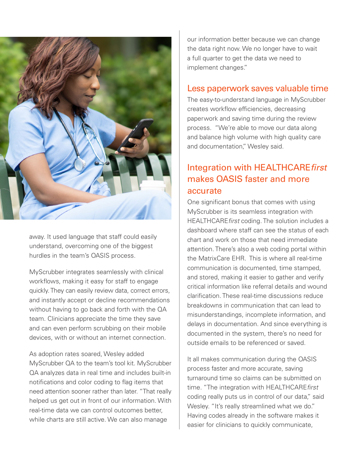

away. It used language that staff could easily understand, overcoming one of the biggest hurdles in the team's OASIS process.

MyScrubber integrates seamlessly with clinical workflows, making it easy for staff to engage quickly. They can easily review data, correct errors, and instantly accept or decline recommendations without having to go back and forth with the QA team. Clinicians appreciate the time they save and can even perform scrubbing on their mobile devices, with or without an internet connection.

As adoption rates soared, Wesley added MyScrubber QA to the team's tool kit. MyScrubber QA analyzes data in real time and includes built-in notifications and color coding to flag items that need attention sooner rather than later. "That really helped us get out in front of our information. With real-time data we can control outcomes better, while charts are still active. We can also manage

our information better because we can change the data right now. We no longer have to wait a full quarter to get the data we need to implement changes."

#### Less paperwork saves valuable time

The easy-to-understand language in MyScrubber creates workflow efficiencies, decreasing paperwork and saving time during the review process. "We're able to move our data along and balance high volume with high quality care and documentation," Wesley said.

## Integration with HEALTHCARE*first*  makes OASIS faster and more accurate

One significant bonus that comes with using MyScrubber is its seamless integration with HEALTHCARE*first* coding. The solution includes a dashboard where staff can see the status of each chart and work on those that need immediate attention. There's also a web coding portal within the MatrixCare EHR. This is where all real-time communication is documented, time stamped, and stored, making it easier to gather and verify critical information like referral details and wound clarification. These real-time discussions reduce breakdowns in communication that can lead to misunderstandings, incomplete information, and delays in documentation. And since everything is documented in the system, there's no need for outside emails to be referenced or saved.

It all makes communication during the OASIS process faster and more accurate, saving turnaround time so claims can be submitted on time. "The integration with HEALTHCARE*first* coding really puts us in control of our data," said Wesley. "It's really streamlined what we do." Having codes already in the software makes it easier for clinicians to quickly communicate,